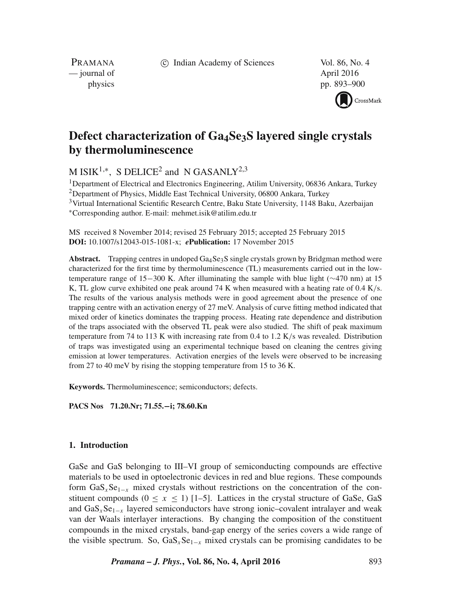c Indian Academy of Sciences Vol. 86, No. 4

PRAMANA — journal of April 2016

physics pp. 893–900



# **Defect characterization of Ga4Se3S layered single crystals by thermoluminescence**

M ISIK<sup>1,\*</sup>, S DELICE<sup>2</sup> and N GASANLY<sup>2,3</sup>

<sup>1</sup>Department of Electrical and Electronics Engineering, Atilim University, 06836 Ankara, Turkey

<sup>2</sup>Department of Physics, Middle East Technical University, 06800 Ankara, Turkey

<sup>3</sup>Virtual International Scientific Research Centre, Baku State University, 1148 Baku, Azerbaijan ∗Corresponding author. E-mail: mehmet.isik@atilim.edu.tr

MS received 8 November 2014; revised 25 February 2015; accepted 25 February 2015 **DOI:** 10.1007/s12043-015-1081-x; *e***Publication:** 17 November 2015

Abstract. Trapping centres in undoped Ga<sub>4</sub>Se<sub>3</sub>S single crystals grown by Bridgman method were characterized for the first time by thermoluminescence (TL) measurements carried out in the lowtemperature range of 15−300 K. After illuminating the sample with blue light (∼470 nm) at 15 K, TL glow curve exhibited one peak around 74 K when measured with a heating rate of 0.4 K/s. The results of the various analysis methods were in good agreement about the presence of one trapping centre with an activation energy of 27 meV. Analysis of curve fitting method indicated that mixed order of kinetics dominates the trapping process. Heating rate dependence and distribution of the traps associated with the observed TL peak were also studied. The shift of peak maximum temperature from 74 to 113 K with increasing rate from 0.4 to 1.2 K/s was revealed. Distribution of traps was investigated using an experimental technique based on cleaning the centres giving emission at lower temperatures. Activation energies of the levels were observed to be increasing from 27 to 40 meV by rising the stopping temperature from 15 to 36 K.

**Keywords.** Thermoluminescence; semiconductors; defects.

**PACS Nos 71.20.Nr; 71.55.−i; 78.60.Kn**

# **1. Introduction**

GaSe and GaS belonging to III–VI group of semiconducting compounds are effective materials to be used in optoelectronic devices in red and blue regions. These compounds form  $\text{GaS}_x\text{Se}_{1-x}$  mixed crystals without restrictions on the concentration of the constituent compounds ( $0 \le x \le 1$ ) [1–5]. Lattices in the crystal structure of GaSe, GaS and  $GaS<sub>x</sub>Se<sub>1-x</sub>$  layered semiconductors have strong ionic–covalent intralayer and weak van der Waals interlayer interactions. By changing the composition of the constituent compounds in the mixed crystals, band-gap energy of the series covers a wide range of the visible spectrum. So, GaS<sub>x</sub>Se<sub>1−x</sub> mixed crystals can be promising candidates to be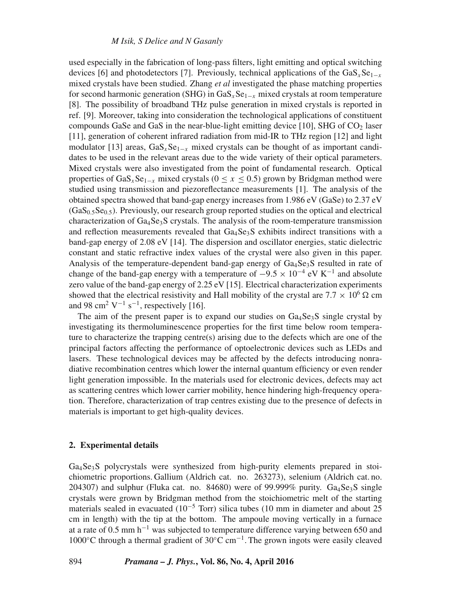used especially in the fabrication of long-pass filters, light emitting and optical switching devices [6] and photodetectors [7]. Previously, technical applications of the GaS<sub>x</sub>Se<sub>1−x</sub> mixed crystals have been studied. Zhang *et al* investigated the phase matching properties for second harmonic generation (SHG) in GaS<sub>x</sub>Se<sub>1−x</sub> mixed crystals at room temperature [8]. The possibility of broadband THz pulse generation in mixed crystals is reported in ref. [9]. Moreover, taking into consideration the technological applications of constituent compounds GaSe and GaS in the near-blue-light emitting device  $[10]$ , SHG of  $CO<sub>2</sub>$  laser [11], generation of coherent infrared radiation from mid-IR to THz region [12] and light modulator [13] areas,  $GaS_xSe_{1-x}$  mixed crystals can be thought of as important candidates to be used in the relevant areas due to the wide variety of their optical parameters. Mixed crystals were also investigated from the point of fundamental research. Optical properties of GaS<sub>x</sub>Se<sub>1−x</sub> mixed crystals ( $0 \le x \le 0.5$ ) grown by Bridgman method were studied using transmission and piezoreflectance measurements [1]. The analysis of the obtained spectra showed that band-gap energy increases from 1.986 eV (GaSe) to 2.37 eV  $(GaS<sub>0.5</sub>Se<sub>0.5</sub>)$ . Previously, our research group reported studies on the optical and electrical characterization of  $Ga_4Se_3S$  crystals. The analysis of the room-temperature transmission and reflection measurements revealed that  $Ga_4Se_3S$  exhibits indirect transitions with a band-gap energy of 2.08 eV [14]. The dispersion and oscillator energies, static dielectric constant and static refractive index values of the crystal were also given in this paper. Analysis of the temperature-dependent band-gap energy of Ga<sub>4</sub>Se<sub>3</sub>S resulted in rate of change of the band-gap energy with a temperature of  $-9.5 \times 10^{-4}$  eV K<sup>-1</sup> and absolute zero value of the band-gap energy of 2.25 eV [15]. Electrical characterization experiments showed that the electrical resistivity and Hall mobility of the crystal are  $7.7 \times 10^6 \Omega$  cm and 98 cm<sup>2</sup> V<sup>-1</sup> s<sup>-1</sup>, respectively [16].

The aim of the present paper is to expand our studies on  $Ga_4Se_3S$  single crystal by investigating its thermoluminescence properties for the first time below room temperature to characterize the trapping centre(s) arising due to the defects which are one of the principal factors affecting the performance of optoelectronic devices such as LEDs and lasers. These technological devices may be affected by the defects introducing nonradiative recombination centres which lower the internal quantum efficiency or even render light generation impossible. In the materials used for electronic devices, defects may act as scattering centres which lower carrier mobility, hence hindering high-frequency operation. Therefore, characterization of trap centres existing due to the presence of defects in materials is important to get high-quality devices.

# **2. Experimental details**

Ga4Se3S polycrystals were synthesized from high-purity elements prepared in stoichiometric proportions. Gallium (Aldrich cat. no. 263273), selenium (Aldrich cat. no. 204307) and sulphur (Fluka cat. no. 84680) were of 99.999% purity.  $Ga_4Se_3S$  single crystals were grown by Bridgman method from the stoichiometric melt of the starting materials sealed in evacuated  $(10^{-5}$  Torr) silica tubes (10 mm in diameter and about 25 cm in length) with the tip at the bottom. The ampoule moving vertically in a furnace at a rate of 0.5 mm h<sup>-1</sup> was subjected to temperature difference varying between 650 and 1000 $\degree$ C through a thermal gradient of 30 $\degree$ C cm<sup>-1</sup>. The grown ingots were easily cleaved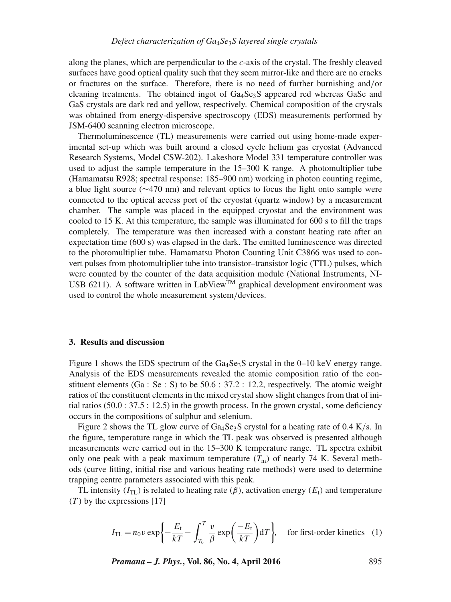along the planes, which are perpendicular to the *c*-axis of the crystal. The freshly cleaved surfaces have good optical quality such that they seem mirror-like and there are no cracks or fractures on the surface. Therefore, there is no need of further burnishing and/or cleaning treatments. The obtained ingot of  $Ga_4Se_3S$  appeared red whereas GaSe and GaS crystals are dark red and yellow, respectively. Chemical composition of the crystals was obtained from energy-dispersive spectroscopy (EDS) measurements performed by JSM-6400 scanning electron microscope.

Thermoluminescence (TL) measurements were carried out using home-made experimental set-up which was built around a closed cycle helium gas cryostat (Advanced Research Systems, Model CSW-202). Lakeshore Model 331 temperature controller was used to adjust the sample temperature in the 15–300 K range. A photomultiplier tube (Hamamatsu R928; spectral response: 185–900 nm) working in photon counting regime, a blue light source (∼470 nm) and relevant optics to focus the light onto sample were connected to the optical access port of the cryostat (quartz window) by a measurement chamber. The sample was placed in the equipped cryostat and the environment was cooled to 15 K. At this temperature, the sample was illuminated for 600 s to fill the traps completely. The temperature was then increased with a constant heating rate after an expectation time (600 s) was elapsed in the dark. The emitted luminescence was directed to the photomultiplier tube. Hamamatsu Photon Counting Unit C3866 was used to convert pulses from photomultiplier tube into transistor–transistor logic (TTL) pulses, which were counted by the counter of the data acquisition module (National Instruments, NI-USB 6211). A software written in LabView<sup>TM</sup> graphical development environment was used to control the whole measurement system/devices.

## **3. Results and discussion**

Figure 1 shows the EDS spectrum of the  $Ga_4Se_3S$  crystal in the 0–10 keV energy range. Analysis of the EDS measurements revealed the atomic composition ratio of the constituent elements (Ga : Se : S) to be  $50.6$  :  $37.2$  : 12.2, respectively. The atomic weight ratios of the constituent elements in the mixed crystal show slight changes from that of initial ratios  $(50.0 : 37.5 : 12.5)$  in the growth process. In the grown crystal, some deficiency occurs in the compositions of sulphur and selenium.

Figure 2 shows the TL glow curve of  $Ga_4Se_3S$  crystal for a heating rate of 0.4 K/s. In the figure, temperature range in which the TL peak was observed is presented although measurements were carried out in the 15–300 K temperature range. TL spectra exhibit only one peak with a peak maximum temperature  $(T<sub>m</sub>)$  of nearly 74 K. Several methods (curve fitting, initial rise and various heating rate methods) were used to determine trapping centre parameters associated with this peak.

TL intensity  $(I_{TL})$  is related to heating rate  $(\beta)$ , activation energy  $(E_t)$  and temperature  $(T)$  by the expressions [17]

$$
I_{\text{TL}} = n_0 v \exp\left\{-\frac{E_t}{kT} - \int_{T_0}^T \frac{v}{\beta} \exp\left(\frac{-E_t}{kT}\right) dT\right\}, \quad \text{for first-order kinetics} \quad (1)
$$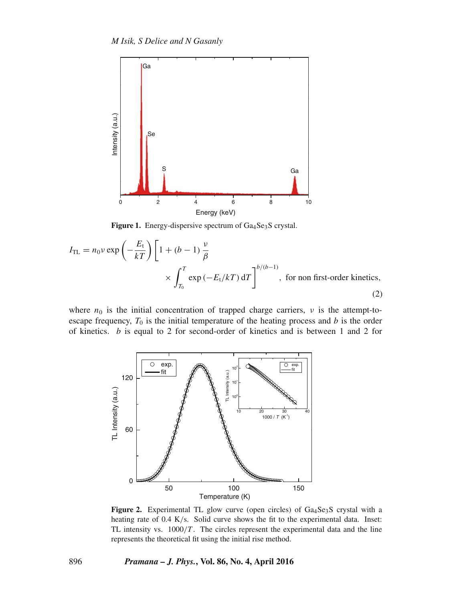

Figure 1. Energy-dispersive spectrum of Ga<sub>4</sub>Se<sub>3</sub>S crystal.

$$
I_{\text{TL}} = n_0 v \exp\left(-\frac{E_t}{kT}\right) \left[1 + (b - 1)\frac{v}{\beta}\right]
$$
  
 
$$
\times \int_{T_0}^T \exp\left(-E_t/kT\right) dT\right]^{b/(b-1)}, \text{ for non first-order kinetics,}
$$
 (2)

where  $n_0$  is the initial concentration of trapped charge carriers,  $\nu$  is the attempt-toescape frequency,  $T_0$  is the initial temperature of the heating process and  $b$  is the order of kinetics.  $b$  is equal to 2 for second-order of kinetics and is between 1 and 2 for



Figure 2. Experimental TL glow curve (open circles) of Ga<sub>4</sub>Se<sub>3</sub>S crystal with a heating rate of 0.4 K/s. Solid curve shows the fit to the experimental data. Inset: TL intensity vs.  $1000/T$ . The circles represent the experimental data and the line represents the theoretical fit using the initial rise method.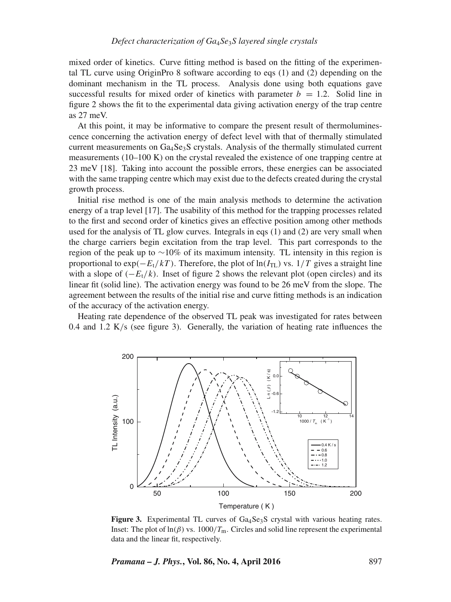mixed order of kinetics. Curve fitting method is based on the fitting of the experimental TL curve using OriginPro 8 software according to eqs (1) and (2) depending on the dominant mechanism in the TL process. Analysis done using both equations gave successful results for mixed order of kinetics with parameter  $b = 1.2$ . Solid line in figure 2 shows the fit to the experimental data giving activation energy of the trap centre as 27 meV.

At this point, it may be informative to compare the present result of thermoluminescence concerning the activation energy of defect level with that of thermally stimulated current measurements on  $Ga_4Se_3S$  crystals. Analysis of the thermally stimulated current measurements  $(10-100 \text{ K})$  on the crystal revealed the existence of one trapping centre at 23 meV [18]. Taking into account the possible errors, these energies can be associated with the same trapping centre which may exist due to the defects created during the crystal growth process.

Initial rise method is one of the main analysis methods to determine the activation energy of a trap level [17]. The usability of this method for the trapping processes related to the first and second order of kinetics gives an effective position among other methods used for the analysis of TL glow curves. Integrals in eqs (1) and (2) are very small when the charge carriers begin excitation from the trap level. This part corresponds to the region of the peak up to ∼10% of its maximum intensity. TL intensity in this region is proportional to exp( $-E_t/kT$ ). Therefore, the plot of ln( $I_{TL}$ ) vs. 1/T gives a straight line with a slope of  $(-E_t/k)$ . Inset of figure 2 shows the relevant plot (open circles) and its linear fit (solid line). The activation energy was found to be 26 meV from the slope. The agreement between the results of the initial rise and curve fitting methods is an indication of the accuracy of the activation energy.

Heating rate dependence of the observed TL peak was investigated for rates between 0.4 and 1.2 K/s (see figure 3). Generally, the variation of heating rate influences the



**Figure 3.** Experimental TL curves of Ga<sub>4</sub>Se<sub>3</sub>S crystal with various heating rates. Inset: The plot of  $\ln(\beta)$  vs.  $1000/T_m$ . Circles and solid line represent the experimental data and the linear fit, respectively.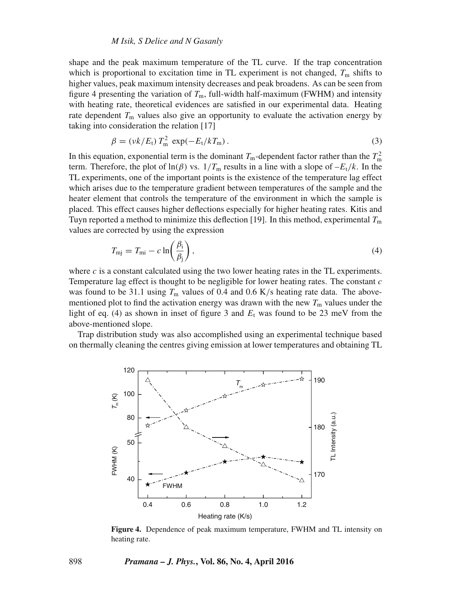#### *M Isik, S Delice and N Gasanly*

shape and the peak maximum temperature of the TL curve. If the trap concentration which is proportional to excitation time in TL experiment is not changed,  $T<sub>m</sub>$  shifts to higher values, peak maximum intensity decreases and peak broadens. As can be seen from figure 4 presenting the variation of  $T<sub>m</sub>$ , full-width half-maximum (FWHM) and intensity with heating rate, theoretical evidences are satisfied in our experimental data. Heating rate dependent  $T_m$  values also give an opportunity to evaluate the activation energy by taking into consideration the relation [17]

$$
\beta = \left(\frac{vk}{E_t}\right) T_m^2 \exp(-E_t/kT_m). \tag{3}
$$

In this equation, exponential term is the dominant  $T_{\text{m}}$ -dependent factor rather than the  $T_{\text{m}}^2$ term. Therefore, the plot of ln( $\beta$ ) vs.  $1/T_m$  results in a line with a slope of  $-E_t/k$ . In the TL experiments, one of the important points is the existence of the temperature lag effect which arises due to the temperature gradient between temperatures of the sample and the heater element that controls the temperature of the environment in which the sample is placed. This effect causes higher deflections especially for higher heating rates. Kitis and Tuyn reported a method to minimize this deflection [19]. In this method, experimental  $T<sub>m</sub>$ values are corrected by using the expression

$$
T_{\rm mj} = T_{\rm mi} - c \ln \left( \frac{\beta_{\rm i}}{\beta_{\rm j}} \right),\tag{4}
$$

where  $c$  is a constant calculated using the two lower heating rates in the TL experiments. Temperature lag effect is thought to be negligible for lower heating rates. The constant  $c$ was found to be 31.1 using  $T<sub>m</sub>$  values of 0.4 and 0.6 K/s heating rate data. The abovementioned plot to find the activation energy was drawn with the new  $T<sub>m</sub>$  values under the light of eq. (4) as shown in inset of figure 3 and  $E_t$  was found to be 23 meV from the above-mentioned slope.

Trap distribution study was also accomplished using an experimental technique based on thermally cleaning the centres giving emission at lower temperatures and obtaining TL



**Figure 4.** Dependence of peak maximum temperature, FWHM and TL intensity on heating rate.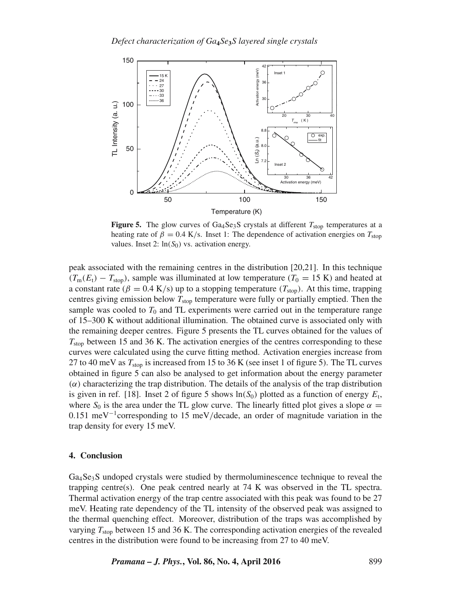

**Figure 5.** The glow curves of Ga<sub>4</sub>Se<sub>3</sub>S crystals at different  $T_{stop}$  temperatures at a heating rate of  $\beta = 0.4$  K/s. Inset 1: The dependence of activation energies on  $T_{stop}$ values. Inset 2:  $ln(S_0)$  vs. activation energy.

peak associated with the remaining centres in the distribution [20,21]. In this technique  $(T_m(E_t) - T_{stop})$ , sample was illuminated at low temperature  $(T_0 = 15 \text{ K})$  and heated at a constant rate ( $\beta = 0.4$  K/s) up to a stopping temperature ( $T_{stop}$ ). At this time, trapping centres giving emission below  $T_{stop}$  temperature were fully or partially emptied. Then the sample was cooled to  $T_0$  and TL experiments were carried out in the temperature range of 15–300 K without additional illumination. The obtained curve is associated only with the remaining deeper centres. Figure 5 presents the TL curves obtained for the values of  $T_{\text{stop}}$  between 15 and 36 K. The activation energies of the centres corresponding to these curves were calculated using the curve fitting method. Activation energies increase from 27 to 40 meV as  $T_{\rm stop}$  is increased from 15 to 36 K (see inset 1 of figure 5). The TL curves obtained in figure 5 can also be analysed to get information about the energy parameter  $(\alpha)$  characterizing the trap distribution. The details of the analysis of the trap distribution is given in ref. [18]. Inset 2 of figure 5 shows  $\ln(S_0)$  plotted as a function of energy  $E_t$ , where  $S_0$  is the area under the TL glow curve. The linearly fitted plot gives a slope  $\alpha =$ 0.151 meV<sup>-1</sup>corresponding to 15 meV/decade, an order of magnitude variation in the trap density for every 15 meV.

## **4. Conclusion**

Ga4Se3S undoped crystals were studied by thermoluminescence technique to reveal the trapping centre(s). One peak centred nearly at 74 K was observed in the TL spectra. Thermal activation energy of the trap centre associated with this peak was found to be 27 meV. Heating rate dependency of the TL intensity of the observed peak was assigned to the thermal quenching effect. Moreover, distribution of the traps was accomplished by varying  $T_{\text{stop}}$  between 15 and 36 K. The corresponding activation energies of the revealed centres in the distribution were found to be increasing from 27 to 40 meV.